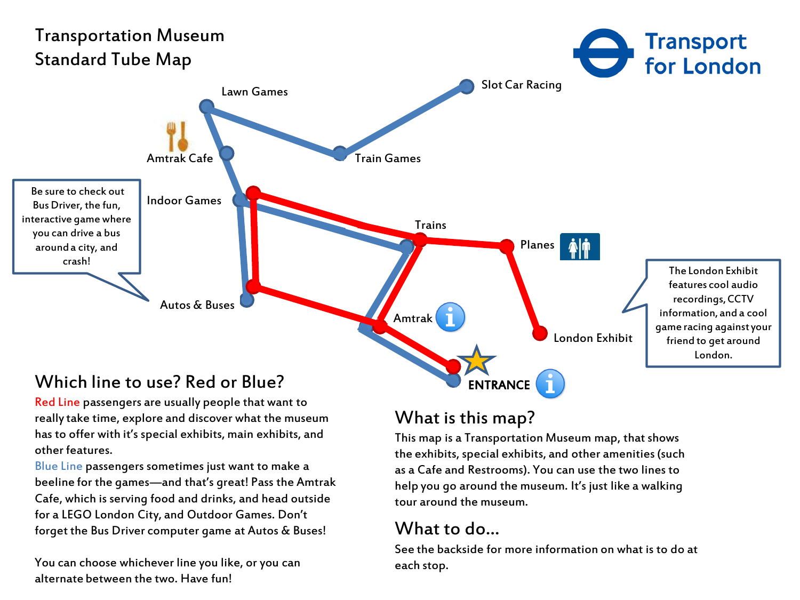

Red Line passengers are usually people that want to really take time, explore and discover what the museum has to offer with it's special exhibits, main exhibits, and other features.

Blue Line passengers sometimes just want to make a beeline for the games—and that's great! Pass the Amtrak Cafe, which is serving food and drinks, and head outside for a LEGO London City, and Outdoor Games. Don't forget the Bus Driver computer game at Autos & Buses!

You can choose whichever line you like, or you can alternate between the two. Have fun!

## What is this map?

This map is a Transportation Museum map, that shows the exhibits, special exhibits, and other amenities (such as a Cafe and Restrooms). You can use the two lines to help you go around the museum. It's just like a walking tour around the museum.

## What to do…

See the backside for more information on what is to do at each stop.